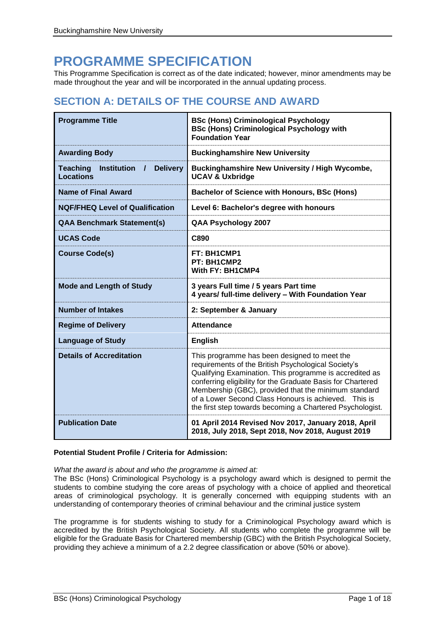# **PROGRAMME SPECIFICATION**

This Programme Specification is correct as of the date indicated; however, minor amendments may be made throughout the year and will be incorporated in the annual updating process.

# **SECTION A: DETAILS OF THE COURSE AND AWARD**

| <b>Programme Title</b>                                                                   | <b>BSc (Hons) Criminological Psychology</b><br><b>BSc (Hons) Criminological Psychology with</b><br><b>Foundation Year</b>                                                                                                                                                                                                                                                                                  |
|------------------------------------------------------------------------------------------|------------------------------------------------------------------------------------------------------------------------------------------------------------------------------------------------------------------------------------------------------------------------------------------------------------------------------------------------------------------------------------------------------------|
| <b>Awarding Body</b>                                                                     | <b>Buckinghamshire New University</b>                                                                                                                                                                                                                                                                                                                                                                      |
| <b>Institution</b><br><b>Delivery</b><br><b>Teaching</b><br>$\prime$<br><b>Locations</b> | <b>Buckinghamshire New University / High Wycombe,</b><br><b>UCAV &amp; Uxbridge</b>                                                                                                                                                                                                                                                                                                                        |
| <b>Name of Final Award</b>                                                               | <b>Bachelor of Science with Honours, BSc (Hons)</b>                                                                                                                                                                                                                                                                                                                                                        |
| <b>NQF/FHEQ Level of Qualification</b>                                                   | Level 6: Bachelor's degree with honours                                                                                                                                                                                                                                                                                                                                                                    |
| <b>QAA Benchmark Statement(s)</b>                                                        | QAA Psychology 2007                                                                                                                                                                                                                                                                                                                                                                                        |
| <b>UCAS Code</b>                                                                         | C890                                                                                                                                                                                                                                                                                                                                                                                                       |
| <b>Course Code(s)</b>                                                                    | FT: BH1CMP1<br>PT: BH1CMP2<br>With FY: BH1CMP4                                                                                                                                                                                                                                                                                                                                                             |
| <b>Mode and Length of Study</b>                                                          | 3 years Full time / 5 years Part time<br>4 years/ full-time delivery - With Foundation Year                                                                                                                                                                                                                                                                                                                |
| <b>Number of Intakes</b>                                                                 | 2: September & January                                                                                                                                                                                                                                                                                                                                                                                     |
| <b>Regime of Delivery</b>                                                                | <b>Attendance</b>                                                                                                                                                                                                                                                                                                                                                                                          |
| <b>Language of Study</b>                                                                 | <b>English</b>                                                                                                                                                                                                                                                                                                                                                                                             |
| <b>Details of Accreditation</b>                                                          | This programme has been designed to meet the<br>requirements of the British Psychological Society's<br>Qualifying Examination. This programme is accredited as<br>conferring eligibility for the Graduate Basis for Chartered<br>Membership (GBC), provided that the minimum standard<br>of a Lower Second Class Honours is achieved. This is<br>the first step towards becoming a Chartered Psychologist. |
| <b>Publication Date</b>                                                                  | 01 April 2014 Revised Nov 2017, January 2018, April<br>2018, July 2018, Sept 2018, Nov 2018, August 2019                                                                                                                                                                                                                                                                                                   |

## **Potential Student Profile / Criteria for Admission:**

*What the award is about and who the programme is aimed at:*

The BSc (Hons) Criminological Psychology is a psychology award which is designed to permit the students to combine studying the core areas of psychology with a choice of applied and theoretical areas of criminological psychology. It is generally concerned with equipping students with an understanding of contemporary theories of criminal behaviour and the criminal justice system

The programme is for students wishing to study for a Criminological Psychology award which is accredited by the British Psychological Society. All students who complete the programme will be eligible for the Graduate Basis for Chartered membership (GBC) with the British Psychological Society, providing they achieve a minimum of a 2.2 degree classification or above (50% or above).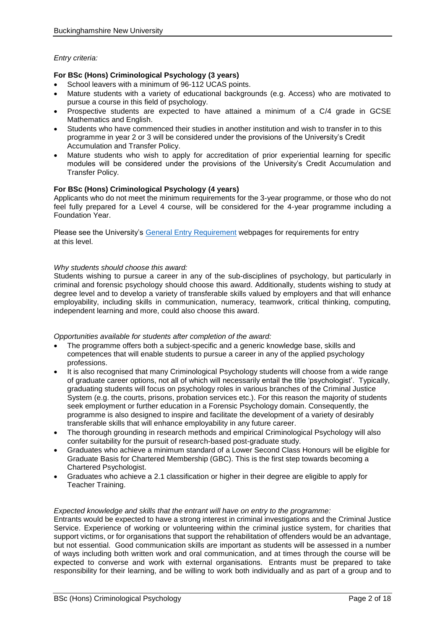## *Entry criteria:*

## **For BSc (Hons) Criminological Psychology (3 years)**

- School leavers with a minimum of 96-112 UCAS points.
- Mature students with a variety of educational backgrounds (e.g. Access) who are motivated to pursue a course in this field of psychology.
- Prospective students are expected to have attained a minimum of a C/4 grade in GCSE Mathematics and English.
- Students who have commenced their studies in another institution and wish to transfer in to this programme in year 2 or 3 will be considered under the provisions of the University's Credit Accumulation and Transfer Policy.
- Mature students who wish to apply for accreditation of prior experiential learning for specific modules will be considered under the provisions of the University's Credit Accumulation and Transfer Policy.

#### **For BSc (Hons) Criminological Psychology (4 years)**

Applicants who do not meet the minimum requirements for the 3-year programme, or those who do not feel fully prepared for a Level 4 course, will be considered for the 4-year programme including a Foundation Year.

Please see the University's [General Entry Requirement](https://bucks.ac.uk/applying-to-bucks/general-admissions-criteria) webpages for requirements for entry at this level.

#### *Why students should choose this award:*

Students wishing to pursue a career in any of the sub-disciplines of psychology, but particularly in criminal and forensic psychology should choose this award. Additionally, students wishing to study at degree level and to develop a variety of transferable skills valued by employers and that will enhance employability, including skills in communication, numeracy, teamwork, critical thinking, computing, independent learning and more, could also choose this award.

#### *Opportunities available for students after completion of the award:*

- The programme offers both a subject-specific and a generic knowledge base, skills and competences that will enable students to pursue a career in any of the applied psychology professions.
- It is also recognised that many Criminological Psychology students will choose from a wide range of graduate career options, not all of which will necessarily entail the title 'psychologist'. Typically, graduating students will focus on psychology roles in various branches of the Criminal Justice System (e.g. the courts, prisons, probation services etc.). For this reason the majority of students seek employment or further education in a Forensic Psychology domain. Consequently, the programme is also designed to inspire and facilitate the development of a variety of desirably transferable skills that will enhance employability in any future career.
- The thorough grounding in research methods and empirical Criminological Psychology will also confer suitability for the pursuit of research-based post-graduate study.
- Graduates who achieve a minimum standard of a Lower Second Class Honours will be eligible for Graduate Basis for Chartered Membership (GBC). This is the first step towards becoming a Chartered Psychologist.
- Graduates who achieve a 2.1 classification or higher in their degree are eligible to apply for Teacher Training.

#### *Expected knowledge and skills that the entrant will have on entry to the programme:*

Entrants would be expected to have a strong interest in criminal investigations and the Criminal Justice Service. Experience of working or volunteering within the criminal justice system, for charities that support victims, or for organisations that support the rehabilitation of offenders would be an advantage, but not essential. Good communication skills are important as students will be assessed in a number of ways including both written work and oral communication, and at times through the course will be expected to converse and work with external organisations. Entrants must be prepared to take responsibility for their learning, and be willing to work both individually and as part of a group and to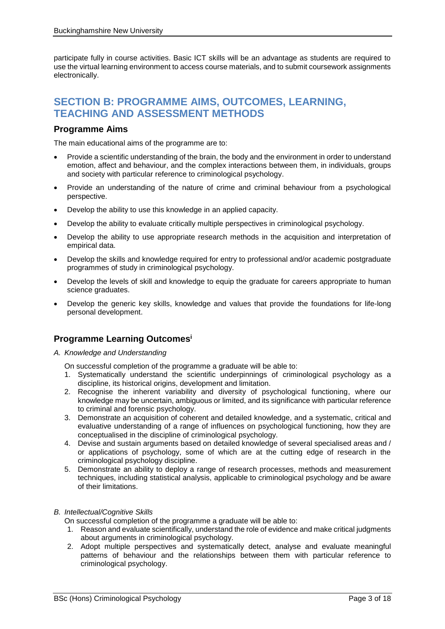participate fully in course activities. Basic ICT skills will be an advantage as students are required to use the virtual learning environment to access course materials, and to submit coursework assignments electronically.

## **SECTION B: PROGRAMME AIMS, OUTCOMES, LEARNING, TEACHING AND ASSESSMENT METHODS**

## **Programme Aims**

The main educational aims of the programme are to:

- Provide a scientific understanding of the brain, the body and the environment in order to understand emotion, affect and behaviour, and the complex interactions between them, in individuals, groups and society with particular reference to criminological psychology.
- Provide an understanding of the nature of crime and criminal behaviour from a psychological perspective.
- Develop the ability to use this knowledge in an applied capacity.
- Develop the ability to evaluate critically multiple perspectives in criminological psychology.
- Develop the ability to use appropriate research methods in the acquisition and interpretation of empirical data.
- Develop the skills and knowledge required for entry to professional and/or academic postgraduate programmes of study in criminological psychology.
- Develop the levels of skill and knowledge to equip the graduate for careers appropriate to human science graduates.
- Develop the generic key skills, knowledge and values that provide the foundations for life-long personal development.

## **Programme Learning Outcomes<sup>i</sup>**

- *A. Knowledge and Understanding*
	- On successful completion of the programme a graduate will be able to:
	- 1. Systematically understand the scientific underpinnings of criminological psychology as a discipline, its historical origins, development and limitation.
	- 2. Recognise the inherent variability and diversity of psychological functioning, where our knowledge may be uncertain, ambiguous or limited, and its significance with particular reference to criminal and forensic psychology.
	- 3. Demonstrate an acquisition of coherent and detailed knowledge, and a systematic, critical and evaluative understanding of a range of influences on psychological functioning, how they are conceptualised in the discipline of criminological psychology.
	- 4. Devise and sustain arguments based on detailed knowledge of several specialised areas and / or applications of psychology, some of which are at the cutting edge of research in the criminological psychology discipline.
	- 5. Demonstrate an ability to deploy a range of research processes, methods and measurement techniques, including statistical analysis, applicable to criminological psychology and be aware of their limitations.

## *B. Intellectual/Cognitive Skills*

On successful completion of the programme a graduate will be able to:

- 1. Reason and evaluate scientifically, understand the role of evidence and make critical judgments about arguments in criminological psychology.
- 2. Adopt multiple perspectives and systematically detect, analyse and evaluate meaningful patterns of behaviour and the relationships between them with particular reference to criminological psychology.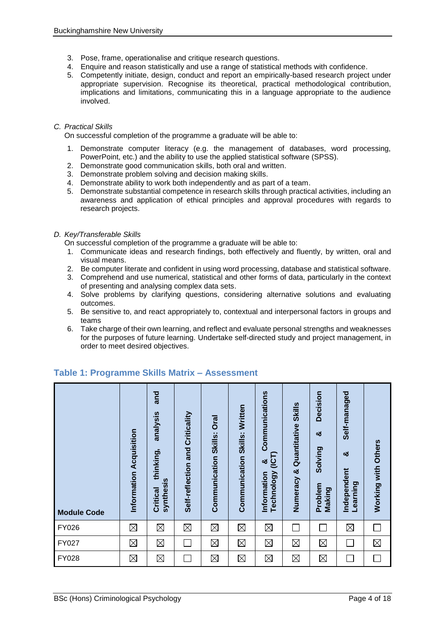- 3. Pose, frame, operationalise and critique research questions.
- 4. Enquire and reason statistically and use a range of statistical methods with confidence.
- 5. Competently initiate, design, conduct and report an empirically-based research project under appropriate supervision. Recognise its theoretical, practical methodological contribution, implications and limitations, communicating this in a language appropriate to the audience involved.

## *C. Practical Skills*

On successful completion of the programme a graduate will be able to:

- 1. Demonstrate computer literacy (e.g. the management of databases, word processing, PowerPoint, etc.) and the ability to use the applied statistical software (SPSS).
- 2. Demonstrate good communication skills, both oral and written.
- 3. Demonstrate problem solving and decision making skills.
- 4. Demonstrate ability to work both independently and as part of a team.
- 5. Demonstrate substantial competence in research skills through practical activities, including an awareness and application of ethical principles and approval procedures with regards to research projects.

## *D. Key/Transferable Skills*

On successful completion of the programme a graduate will be able to:

- 1. Communicate ideas and research findings, both effectively and fluently, by written, oral and visual means.
- 2. Be computer literate and confident in using word processing, database and statistical software.
- 3. Comprehend and use numerical, statistical and other forms of data, particularly in the context of presenting and analysing complex data sets.
- 4. Solve problems by clarifying questions, considering alternative solutions and evaluating outcomes.
- 5. Be sensitive to, and react appropriately to, contextual and interpersonal factors in groups and teams
- 6. Take charge of their own learning, and reflect and evaluate personal strengths and weaknesses for the purposes of future learning. Undertake self-directed study and project management, in order to meet desired objectives.

| <b>Module Code</b> | Information Acquisition | and<br>analysis<br>thinking,<br>synthesis<br><b>Critical</b> | Criticality<br>Self-reflection and | Communication Skills: Oral | Communication Skills: Written | Communications<br>(ICT)<br>ಯ<br>Technology<br>Information | Numeracy & Quantitative Skills | Decision<br>×ŏ<br>Solving<br>Problem<br>Making | Self-managed<br>න්<br>Independent<br>Learning | Working with Others |
|--------------------|-------------------------|--------------------------------------------------------------|------------------------------------|----------------------------|-------------------------------|-----------------------------------------------------------|--------------------------------|------------------------------------------------|-----------------------------------------------|---------------------|
| <b>FY026</b>       | $\boxtimes$             | $\boxtimes$                                                  | $\boxtimes$                        | $\boxtimes$                | $\boxtimes$                   | $\boxtimes$                                               |                                |                                                | $\boxtimes$                                   | $\Box$              |
| FY027              | $\boxtimes$             | $\boxtimes$                                                  |                                    | $\boxtimes$                | $\boxtimes$                   | $\boxtimes$                                               | $\boxtimes$                    | $\boxtimes$                                    |                                               | $\boxtimes$         |
| FY028              | $\boxtimes$             | $\boxtimes$                                                  |                                    | $\boxtimes$                | $\boxtimes$                   | $\boxtimes$                                               | $\boxtimes$                    | $\boxtimes$                                    |                                               |                     |

## **Table 1: Programme Skills Matrix – Assessment**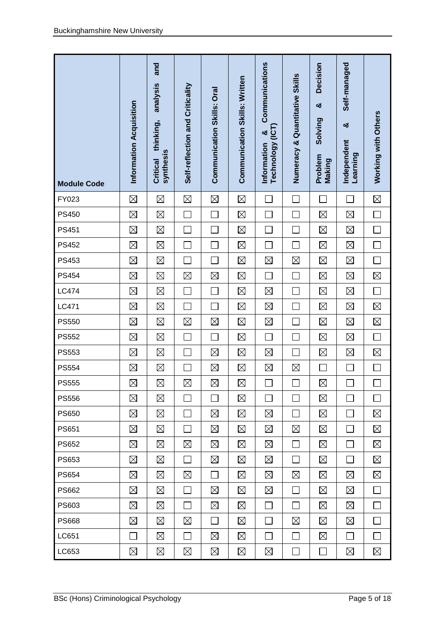| <b>Module Code</b> | Information Acquisition | and<br>analysis<br>thinking,<br>synthesis<br><b>Critical</b> | Self-reflection and Criticality | Communication Skills: Oral | <b>Communication Skills: Written</b> | Communications<br><b>UCT</b><br>ಯ<br><b>Technology</b><br>Information | Numeracy & Quantitative Skills | Decision<br>ಯ<br>Solving<br>Problem<br>Making | Self-managed<br>ಯ<br>Independent<br>Learning | Working with Others         |
|--------------------|-------------------------|--------------------------------------------------------------|---------------------------------|----------------------------|--------------------------------------|-----------------------------------------------------------------------|--------------------------------|-----------------------------------------------|----------------------------------------------|-----------------------------|
| FY023              | $\boxtimes$             | $\boxtimes$                                                  | $\boxtimes$                     | $\boxtimes$                | $\boxtimes$                          |                                                                       |                                |                                               |                                              | $\boxtimes$                 |
| <b>PS450</b>       | $\boxtimes$             | $\boxtimes$                                                  |                                 |                            | $\boxtimes$                          |                                                                       |                                | $\boxtimes$                                   | $\boxtimes$                                  | ٦                           |
| <b>PS451</b>       | $\boxtimes$             | $\boxtimes$                                                  | $\Box$                          | $\overline{\phantom{a}}$   | $\boxtimes$                          | $\sim$                                                                | ×.                             | $\boxtimes$                                   | $\boxtimes$                                  | $\mathcal{L}_{\mathcal{A}}$ |
| <b>PS452</b>       | $\boxtimes$             | $\boxtimes$                                                  | $\mathcal{L}_{\mathcal{A}}$     | $\Box$                     | $\boxtimes$                          | $\sim$                                                                |                                | $\boxtimes$                                   | $\boxtimes$                                  | П                           |
| <b>PS453</b>       | $\boxtimes$             | $\boxtimes$                                                  | $\overline{\phantom{0}}$        | $\Box$                     | $\boxtimes$                          | $\boxtimes$                                                           | $\boxtimes$                    | $\boxtimes$                                   | $\boxtimes$                                  | П                           |
| <b>PS454</b>       | $\boxtimes$             | $\boxtimes$                                                  | $\boxtimes$                     | $\boxtimes$                | $\boxtimes$                          | $\mathcal{L}_{\mathcal{A}}$                                           | $\sim$                         | $\boxtimes$                                   | $\boxtimes$                                  | $\boxtimes$                 |
| <b>LC474</b>       | $\boxtimes$             | $\boxtimes$                                                  | $\mathcal{L}_{\mathcal{A}}$     |                            | $\boxtimes$                          | $\boxtimes$                                                           |                                | $\boxtimes$                                   | $\boxtimes$                                  |                             |
| LC471              | $\boxtimes$             | $\boxtimes$                                                  | $\mathcal{L}$                   | $\sim$                     | $\boxtimes$                          | $\boxtimes$                                                           |                                | $\boxtimes$                                   | $\boxtimes$                                  | $\boxtimes$                 |
| <b>PS550</b>       | $\boxtimes$             | $\boxtimes$                                                  | $\boxtimes$                     | $\boxtimes$                | $\boxtimes$                          | $\boxtimes$                                                           |                                | $\boxtimes$                                   | $\boxtimes$                                  | $\boxtimes$                 |
| <b>PS552</b>       | $\boxtimes$             | $\boxtimes$                                                  | $\Box$                          | П                          | $\boxtimes$                          | $\Box$                                                                | ×.                             | $\boxtimes$                                   | $\boxtimes$                                  | $\Box$                      |
| <b>PS553</b>       | $\boxtimes$             | $\boxtimes$                                                  |                                 | $\boxtimes$                | $\boxtimes$                          | $\boxtimes$                                                           |                                | $\boxtimes$                                   | $\boxtimes$                                  | $\boxtimes$                 |
| <b>PS554</b>       | $\boxtimes$             | $\boxtimes$                                                  | $\overline{\phantom{a}}$        | $\boxtimes$                | $\boxtimes$                          | $\boxtimes$                                                           | $\boxtimes$                    | $\mathcal{L}_{\mathcal{A}}$                   | $\mathcal{L}_{\mathcal{A}}$                  | $\mathcal{L}_{\mathcal{A}}$ |
| <b>PS555</b>       | $\boxtimes$             | $\boxtimes$                                                  | $\boxtimes$                     | $\boxtimes$                | $\boxtimes$                          |                                                                       |                                | $\boxtimes$                                   |                                              |                             |
| <b>PS556</b>       | ⊠                       | $\boxtimes$                                                  | $\mathcal{L}_{\mathcal{A}}$     | $\Box$                     | $\boxtimes$                          | $\blacksquare$                                                        | $\sim$                         | ⊠                                             | $\mathbb{R}^n$                               | $\sim$                      |
| <b>PS650</b>       | ⊠                       | $\boxtimes$                                                  | $\Box$                          | ⊠                          | $\boxtimes$                          | $\boxtimes$                                                           | $\Box$                         | ⊠                                             | $\Box$                                       | ⊠                           |
| PS651              | $\boxtimes$             | $\boxtimes$                                                  | $\Box$                          | $\boxtimes$                | $\boxtimes$                          | $\boxtimes$                                                           | $\boxtimes$                    | $\boxtimes$                                   | $\Box$                                       | $\boxtimes$                 |
| <b>PS652</b>       | $\boxtimes$             | $\boxtimes$                                                  | $\boxtimes$                     | ⊠                          | $\boxtimes$                          | $\boxtimes$                                                           | $\Box$                         | ⊠                                             | $\Box$                                       | $\boxtimes$                 |
| PS653              | ⊠                       | $\boxtimes$                                                  | $\Box$                          | ⊠                          | $\boxtimes$                          | $\boxtimes$                                                           | $\Box$                         | ⊠                                             | $\Box$                                       | $\boxtimes$                 |
| <b>PS654</b>       | $\boxtimes$             | $\boxtimes$                                                  | $\boxtimes$                     | $\Box$                     | $\boxtimes$                          | $\boxtimes$                                                           | $\boxtimes$                    | ⊠                                             | $\boxtimes$                                  | $\boxtimes$                 |
| <b>PS662</b>       | $\boxtimes$             | $\boxtimes$                                                  | $\Box$                          | $\boxtimes$                | $\boxtimes$                          | $\boxtimes$                                                           | $\Box$                         | $\boxtimes$                                   | $\boxtimes$                                  | $\Box$                      |
| PS603              | $\boxtimes$             | $\boxtimes$                                                  | $\Box$                          | $\boxtimes$                | $\boxtimes$                          | $\Box$                                                                | П                              | ⊠                                             | $\boxtimes$                                  | П                           |
| <b>PS668</b>       | $\boxtimes$             | $\boxtimes$                                                  | $\boxtimes$                     | $\Box$                     | $\boxtimes$                          | $\Box$                                                                | $\boxtimes$                    | ⊠                                             | $\boxtimes$                                  | $\Box$                      |
| LC651              | $\Box$                  | $\boxtimes$                                                  | $\Box$                          | $\boxtimes$                | $\boxtimes$                          | $\Box$                                                                | $\Box$                         | $\boxtimes$                                   | $\Box$                                       | $\Box$                      |
| LC653              | $\boxtimes$             | $\boxtimes$                                                  | $\boxtimes$                     | $\boxtimes$                | $\boxtimes$                          | $\boxtimes$                                                           | $\Box$                         | $\Box$                                        | $\boxtimes$                                  | $\boxtimes$                 |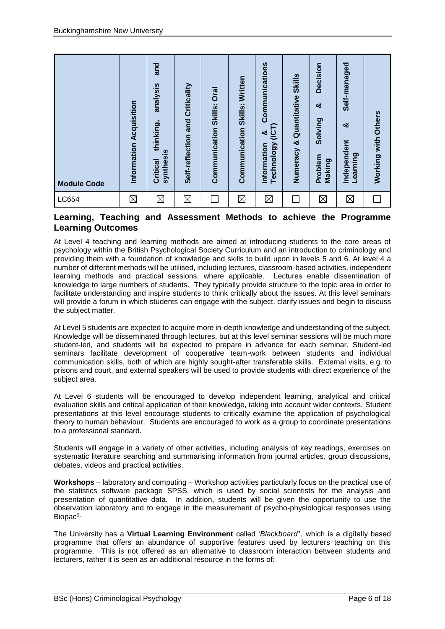| <b>Module Code</b> | Information Acquisition | and<br>analysis<br>thinking,<br><b>synthesis</b><br>Critical | Self-reflection and Criticality | <b>Oral</b><br>Skills:<br>Communication | Written<br>Skills:<br>Communication | Communications<br>(ICT)<br>ಯ<br><b>Technology</b><br>Information | <b>Skills</b><br>Quantitative<br>Numeracy & | Decision<br>ೲ<br>Solving<br>Problem<br>Making | Self-managed<br>ಯ<br>Independent<br>Learning | Working with Others |
|--------------------|-------------------------|--------------------------------------------------------------|---------------------------------|-----------------------------------------|-------------------------------------|------------------------------------------------------------------|---------------------------------------------|-----------------------------------------------|----------------------------------------------|---------------------|
| LC654              | $\boxtimes$             | $\boxtimes$                                                  | $\boxtimes$                     |                                         | $\boxtimes$                         | $\boxtimes$                                                      |                                             | $\boxtimes$                                   | $\boxtimes$                                  |                     |

## **Learning, Teaching and Assessment Methods to achieve the Programme Learning Outcomes**

At Level 4 teaching and learning methods are aimed at introducing students to the core areas of psychology within the British Psychological Society Curriculum and an introduction to criminology and providing them with a foundation of knowledge and skills to build upon in levels 5 and 6. At level 4 a number of different methods will be utilised, including lectures, classroom-based activities, independent learning methods and practical sessions, where applicable. Lectures enable dissemination of knowledge to large numbers of students. They typically provide structure to the topic area in order to facilitate understanding and inspire students to think critically about the issues. At this level seminars will provide a forum in which students can engage with the subject, clarify issues and begin to discuss the subject matter.

At Level 5 students are expected to acquire more in-depth knowledge and understanding of the subject. Knowledge will be disseminated through lectures, but at this level seminar sessions will be much more student-led, and students will be expected to prepare in advance for each seminar. Student-led seminars facilitate development of cooperative team-work between students and individual communication skills, both of which are highly sought-after transferable skills. External visits, e.g. to prisons and court, and external speakers will be used to provide students with direct experience of the subject area.

At Level 6 students will be encouraged to develop independent learning, analytical and critical evaluation skills and critical application of their knowledge, taking into account wider contexts. Student presentations at this level encourage students to critically examine the application of psychological theory to human behaviour. Students are encouraged to work as a group to coordinate presentations to a professional standard.

Students will engage in a variety of other activities, including analysis of key readings, exercises on systematic literature searching and summarising information from journal articles, group discussions, debates, videos and practical activities.

**Workshops** – laboratory and computing – Workshop activities particularly focus on the practical use of the statistics software package SPSS, which is used by social scientists for the analysis and presentation of quantitative data. In addition, students will be given the opportunity to use the observation laboratory and to engage in the measurement of psycho-physiological responses using Biopac©.

The University has a **Virtual Learning Environment** called '*Blackboard'*', which is a digitally based programme that offers an abundance of supportive features used by lecturers teaching on this programme. This is not offered as an alternative to classroom interaction between students and lecturers, rather it is seen as an additional resource in the forms of: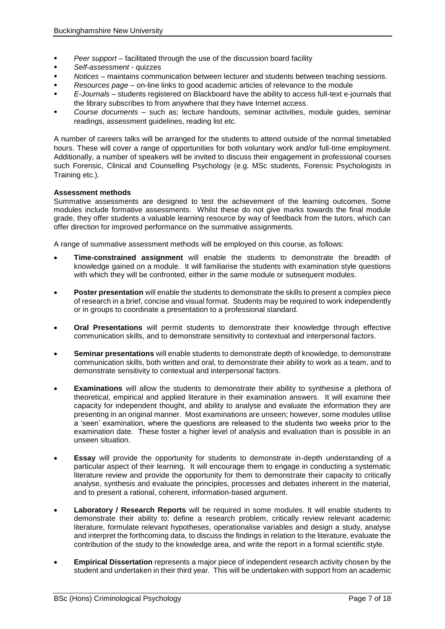- *Peer support* facilitated through the use of the discussion board facility
- *Self-assessment* quizzes
- *Notices* maintains communication between lecturer and students between teaching sessions.
- *Resources page* on-line links to good academic articles of relevance to the module
- *E-Journals* students registered on Blackboard have the ability to access full-text e-journals that the library subscribes to from anywhere that they have Internet access.
- *Course documents*  such as; lecture handouts, seminar activities, module guides, seminar readings, assessment guidelines, reading list etc.

A number of careers talks will be arranged for the students to attend outside of the normal timetabled hours. These will cover a range of opportunities for both voluntary work and/or full-time employment. Additionally, a number of speakers will be invited to discuss their engagement in professional courses such Forensic, Clinical and Counselling Psychology (e.g. MSc students, Forensic Psychologists in Training etc.).

## **Assessment methods**

Summative assessments are designed to test the achievement of the learning outcomes. Some modules include formative assessments. Whilst these do not give marks towards the final module grade, they offer students a valuable learning resource by way of feedback from the tutors, which can offer direction for improved performance on the summative assignments.

A range of summative assessment methods will be employed on this course, as follows:

- **Time-constrained assignment** will enable the students to demonstrate the breadth of knowledge gained on a module. It will familiarise the students with examination style questions with which they will be confronted, either in the same module or subsequent modules.
- **Poster presentation** will enable the students to demonstrate the skills to present a complex piece of research in a brief, concise and visual format. Students may be required to work independently or in groups to coordinate a presentation to a professional standard.
- **Oral Presentations** will permit students to demonstrate their knowledge through effective communication skills, and to demonstrate sensitivity to contextual and interpersonal factors.
- **Seminar presentations** will enable students to demonstrate depth of knowledge, to demonstrate communication skills, both written and oral, to demonstrate their ability to work as a team, and to demonstrate sensitivity to contextual and interpersonal factors.
- **Examinations** will allow the students to demonstrate their ability to synthesise a plethora of theoretical, empirical and applied literature in their examination answers. It will examine their capacity for independent thought, and ability to analyse and evaluate the information they are presenting in an original manner. Most examinations are unseen; however, some modules utilise a 'seen' examination, where the questions are released to the students two weeks prior to the examination date. These foster a higher level of analysis and evaluation than is possible in an unseen situation.
- **Essay** will provide the opportunity for students to demonstrate in-depth understanding of a particular aspect of their learning. It will encourage them to engage in conducting a systematic literature review and provide the opportunity for them to demonstrate their capacity to critically analyse, synthesis and evaluate the principles, processes and debates inherent in the material, and to present a rational, coherent, information-based argument.
- **Laboratory / Research Reports** will be required in some modules. It will enable students to demonstrate their ability to: define a research problem, critically review relevant academic literature, formulate relevant hypotheses, operationalise variables and design a study, analyse and interpret the forthcoming data, to discuss the findings in relation to the literature, evaluate the contribution of the study to the knowledge area, and write the report in a formal scientific style.
- **Empirical Dissertation** represents a major piece of independent research activity chosen by the student and undertaken in their third year. This will be undertaken with support from an academic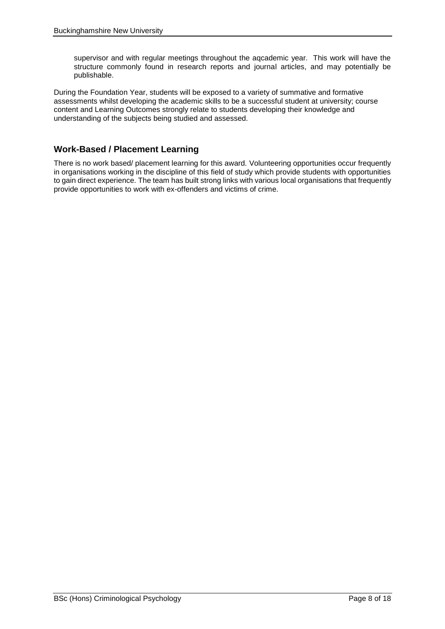supervisor and with regular meetings throughout the aqcademic year. This work will have the structure commonly found in research reports and journal articles, and may potentially be publishable.

During the Foundation Year, students will be exposed to a variety of summative and formative assessments whilst developing the academic skills to be a successful student at university; course content and Learning Outcomes strongly relate to students developing their knowledge and understanding of the subjects being studied and assessed.

## **Work-Based / Placement Learning**

There is no work based/ placement learning for this award. Volunteering opportunities occur frequently in organisations working in the discipline of this field of study which provide students with opportunities to gain direct experience. The team has built strong links with various local organisations that frequently provide opportunities to work with ex-offenders and victims of crime.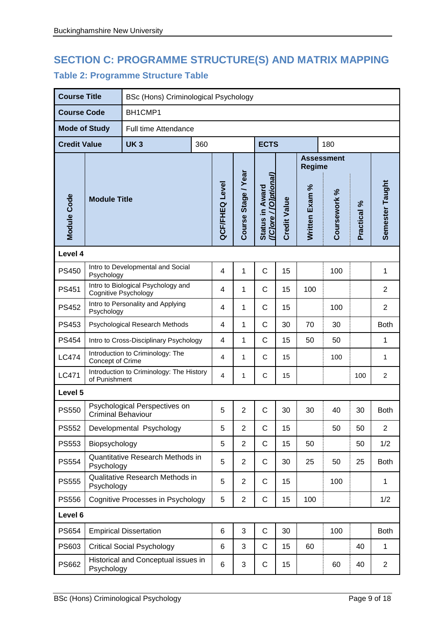# **SECTION C: PROGRAMME STRUCTURE(S) AND MATRIX MAPPING Table 2: Programme Structure Table**

| <b>Course Title</b>  |                           |                                          | BSc (Hons) Criminological Psychology |                |                     |                                          |                     |                |                   |             |                 |
|----------------------|---------------------------|------------------------------------------|--------------------------------------|----------------|---------------------|------------------------------------------|---------------------|----------------|-------------------|-------------|-----------------|
| <b>Course Code</b>   |                           | BH1CMP1                                  |                                      |                |                     |                                          |                     |                |                   |             |                 |
| <b>Mode of Study</b> |                           | Full time Attendance                     |                                      |                |                     |                                          |                     |                |                   |             |                 |
| <b>Credit Value</b>  |                           | <b>UK3</b>                               | 360                                  |                |                     | <b>ECTS</b>                              |                     |                | 180               |             |                 |
|                      |                           |                                          |                                      |                |                     |                                          |                     | <b>Regime</b>  | <b>Assessment</b> |             |                 |
| <b>Module Code</b>   | <b>Module Title</b>       |                                          |                                      | QCF/FHEQ Level | Course Stage / Year | ([C]ore / [O]ptional)<br>Status in Award | <b>Credit Value</b> | Written Exam % | Coursework %      | Practical % | Semester Taught |
| Level 4              |                           |                                          |                                      |                |                     |                                          |                     |                |                   |             |                 |
| <b>PS450</b>         | Psychology                | Intro to Developmental and Social        |                                      | $\overline{4}$ | 1                   | $\mathsf{C}$                             | 15                  |                | 100               |             | 1               |
| <b>PS451</b>         | Cognitive Psychology      | Intro to Biological Psychology and       |                                      | 4              | 1                   | C                                        | 15                  | 100            |                   |             | $\overline{2}$  |
| <b>PS452</b>         | Psychology                | Intro to Personality and Applying        |                                      | 4              | 1                   | C                                        | 15                  |                | 100               |             | $\overline{2}$  |
| PS453                |                           | Psychological Research Methods           |                                      | 4              | 1                   | C                                        | 30                  | 70             | 30                |             | <b>Both</b>     |
| <b>PS454</b>         |                           | Intro to Cross-Disciplinary Psychology   |                                      | 4              | 1                   | $\mathsf{C}$                             | 15                  | 50             | 50                |             | 1               |
| <b>LC474</b>         | Concept of Crime          | Introduction to Criminology: The         |                                      | 4              | 1                   | C                                        | 15                  |                | 100               |             | 1               |
| <b>LC471</b>         | of Punishment             | Introduction to Criminology: The History |                                      | $\overline{4}$ | 1                   | C                                        | 15                  |                |                   | 100         | $\overline{c}$  |
| Level 5              |                           |                                          |                                      |                |                     |                                          |                     |                |                   |             |                 |
| <b>PS550</b>         | <b>Criminal Behaviour</b> | Psychological Perspectives on            |                                      | 5              | $\overline{2}$      | C                                        | 30                  | 30             | 40                | 30          | <b>Both</b>     |
| <b>PS552</b>         |                           | Developmental Psychology                 |                                      | 5              | $\overline{2}$      | $\mathsf C$                              | 15                  |                | 50                | 50          | $\overline{2}$  |
| <b>PS553</b>         | Biopsychology             |                                          |                                      | 5              | $\overline{2}$      | $\mathsf{C}$                             | 15                  | 50             |                   | 50          | 1/2             |
| PS554                | Psychology                | Quantitative Research Methods in         |                                      | 5              | $\overline{2}$      | $\mathsf{C}$                             | 30                  | 25             | 50                | 25          | <b>Both</b>     |
| <b>PS555</b>         | Psychology                | Qualitative Research Methods in          |                                      | 5              | $\overline{2}$      | $\mathsf{C}$                             | 15                  |                | 100               |             | $\mathbf{1}$    |
| <b>PS556</b>         |                           | Cognitive Processes in Psychology        |                                      | 5              | $\overline{2}$      | $\mathbf C$                              | 15                  | 100            |                   |             | 1/2             |
| Level 6              |                           |                                          |                                      |                |                     |                                          |                     |                |                   |             |                 |
| <b>PS654</b>         |                           | <b>Empirical Dissertation</b>            |                                      | 6              | 3                   | $\mathbf C$                              | 30                  |                | 100               |             | <b>Both</b>     |
| PS603                |                           | <b>Critical Social Psychology</b>        |                                      | 6              | 3                   | $\mathsf{C}$                             | 15                  | 60             |                   | 40          | $\mathbf{1}$    |
| PS662                | Psychology                | Historical and Conceptual issues in      |                                      | 6              | 3                   | C                                        | 15                  |                | 60                | 40          | $\overline{c}$  |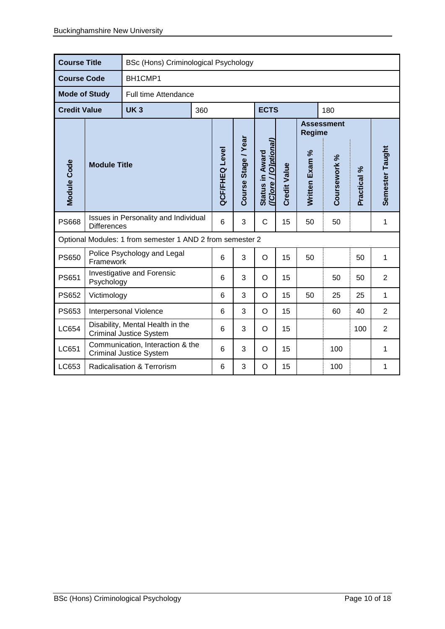| <b>Course Title</b>  |                     | <b>BSc (Hons) Criminological Psychology</b>                        |     |                       |                     |                                         |                     |                |                   |             |                 |
|----------------------|---------------------|--------------------------------------------------------------------|-----|-----------------------|---------------------|-----------------------------------------|---------------------|----------------|-------------------|-------------|-----------------|
| <b>Course Code</b>   |                     | BH1CMP1                                                            |     |                       |                     |                                         |                     |                |                   |             |                 |
| <b>Mode of Study</b> |                     | Full time Attendance                                               |     |                       |                     |                                         |                     |                |                   |             |                 |
| <b>Credit Value</b>  |                     | <b>UK3</b>                                                         | 360 |                       |                     | <b>ECTS</b>                             |                     |                | 180               |             |                 |
|                      |                     |                                                                    |     |                       |                     |                                         |                     | <b>Regime</b>  | <b>Assessment</b> |             |                 |
| <b>Module Code</b>   | <b>Module Title</b> |                                                                    |     | <b>QCF/FHEQ Level</b> | Course Stage / Year | (Clore / [Olptional]<br>Status in Award | <b>Credit Value</b> | Written Exam % | Coursework %      | Practical % | Semester Taught |
| <b>PS668</b>         | <b>Differences</b>  | Issues in Personality and Individual                               |     | 6                     | 3                   | C                                       | 15                  | 50             | 50                |             | 1               |
|                      |                     | Optional Modules: 1 from semester 1 AND 2 from semester 2          |     |                       |                     |                                         |                     |                |                   |             |                 |
| <b>PS650</b>         | Framework           | Police Psychology and Legal                                        |     | 6                     | 3                   | $\circ$                                 | 15                  | 50             |                   | 50          | 1               |
| <b>PS651</b>         | Psychology          | Investigative and Forensic                                         |     | 6                     | 3                   | O                                       | 15                  |                | 50                | 50          | $\overline{2}$  |
| <b>PS652</b>         | Victimology         |                                                                    |     | 6                     | 3                   | O                                       | 15                  | 50             | 25                | 25          | 1               |
| PS653                |                     | Interpersonal Violence                                             |     | 6                     | 3                   | $\circ$                                 | 15                  |                | 60                | 40          | $\overline{2}$  |
| LC654                |                     | Disability, Mental Health in the<br><b>Criminal Justice System</b> |     | 6                     | 3                   | O                                       | 15                  |                |                   | 100         | $\overline{2}$  |
| LC651                |                     | Communication, Interaction & the<br><b>Criminal Justice System</b> |     | 6                     | 3                   | O                                       | 15                  |                | 100               |             | 1               |
| LC653                |                     | Radicalisation & Terrorism                                         |     | 6                     | 3                   | O                                       | 15                  |                | 100               |             | 1               |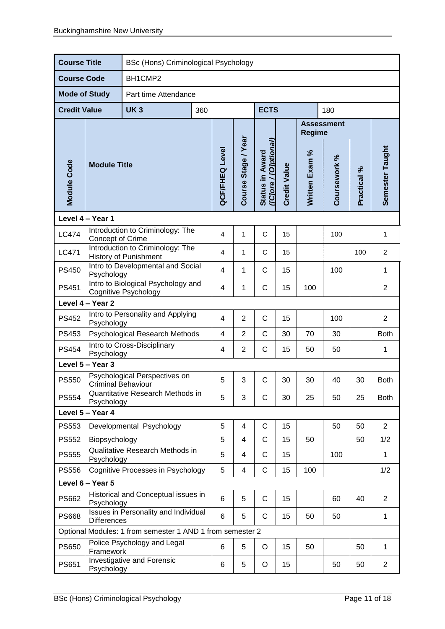| <b>Course Title</b>  |                                                            |                                                                   | BSc (Hons) Criminological Psychology |     |                       |                     |                                          |                     |                |                   |             |                 |
|----------------------|------------------------------------------------------------|-------------------------------------------------------------------|--------------------------------------|-----|-----------------------|---------------------|------------------------------------------|---------------------|----------------|-------------------|-------------|-----------------|
| <b>Course Code</b>   |                                                            | BH1CMP2                                                           |                                      |     |                       |                     |                                          |                     |                |                   |             |                 |
| <b>Mode of Study</b> |                                                            | Part time Attendance                                              |                                      |     |                       |                     |                                          |                     |                |                   |             |                 |
| <b>Credit Value</b>  |                                                            | UK <sub>3</sub>                                                   |                                      | 360 |                       |                     | <b>ECTS</b>                              |                     |                | 180               |             |                 |
|                      |                                                            |                                                                   |                                      |     |                       |                     |                                          |                     | <b>Regime</b>  | <b>Assessment</b> |             |                 |
| Module Code          | <b>Module Title</b>                                        |                                                                   |                                      |     | <b>QCF/FHEQ Level</b> | Course Stage / Year | ([C]ore / [O]ptional]<br>Status in Award | <b>Credit Value</b> | Written Exam % | Coursework %      | Practical % | Semester Taught |
|                      | Level 4 - Year 1                                           |                                                                   |                                      |     |                       |                     |                                          |                     |                |                   |             |                 |
| <b>LC474</b>         | Concept of Crime                                           | Introduction to Criminology: The                                  |                                      |     | 4                     | $\mathbf{1}$        | C                                        | 15                  |                | 100               |             | $\mathbf{1}$    |
| <b>LC471</b>         |                                                            | Introduction to Criminology: The<br><b>History of Punishment</b>  |                                      |     | 4                     | 1                   | C                                        | 15                  |                |                   | 100         | $\overline{2}$  |
| <b>PS450</b>         |                                                            | Intro to Developmental and Social<br>Psychology                   |                                      |     |                       | 1                   | C                                        | 15                  |                | 100               |             | 1               |
| PS451                |                                                            | Intro to Biological Psychology and<br><b>Cognitive Psychology</b> |                                      |     |                       | 1                   | C                                        | 15                  | 100            |                   |             | $\overline{2}$  |
|                      | Level 4 - Year 2                                           |                                                                   |                                      |     |                       |                     |                                          |                     |                |                   |             |                 |
| <b>PS452</b>         | Psychology                                                 | Intro to Personality and Applying                                 |                                      |     | 4                     | $\overline{2}$      | $\mathsf C$                              | 15                  |                | 100               |             | $\overline{2}$  |
| PS453                |                                                            | Psychological Research Methods                                    |                                      |     | 4                     | $\overline{2}$      | C                                        | 30                  | 70             | 30                |             | <b>Both</b>     |
| <b>PS454</b>         | Psychology                                                 | Intro to Cross-Disciplinary                                       |                                      |     | 4                     | $\overline{2}$      | C                                        | 15                  | 50             | 50                |             | 1               |
|                      | Level 5 - Year 3                                           |                                                                   |                                      |     |                       |                     |                                          |                     |                |                   |             |                 |
| <b>PS550</b>         | <b>Criminal Behaviour</b>                                  | Psychological Perspectives on                                     |                                      |     | 5                     | 3                   | C                                        | 30                  | 30             | 40                | 30          | <b>Both</b>     |
| <b>PS554</b>         | Psychology                                                 | Quantitative Research Methods in                                  |                                      |     | 5                     | 3                   | C                                        | 30                  | 25             | 50                | 25          | <b>Both</b>     |
|                      | Level 5 - Year 4                                           |                                                                   |                                      |     |                       |                     |                                          |                     |                |                   |             |                 |
| <b>PS553</b>         |                                                            | Developmental Psychology                                          |                                      |     | 5                     | 4                   | C                                        | 15                  |                | 50                | 50          | $\overline{2}$  |
| <b>PS552</b>         | Biopsychology                                              |                                                                   |                                      |     | 5                     | 4                   | C                                        | 15                  | 50             |                   | 50          | 1/2             |
| <b>PS555</b>         | Psychology                                                 | Qualitative Research Methods in                                   |                                      |     | 5                     | 4                   | C                                        | 15                  |                | 100               |             | $\mathbf{1}$    |
| <b>PS556</b>         |                                                            | Cognitive Processes in Psychology                                 |                                      |     | 5                     | 4                   | C                                        | 15                  | 100            |                   |             | 1/2             |
|                      | Level 6 - Year 5                                           |                                                                   |                                      |     |                       |                     |                                          |                     |                |                   |             |                 |
| PS662                | Psychology                                                 | Historical and Conceptual issues in                               |                                      |     | 6                     | 5                   | $\mathsf C$                              | 15                  |                | 60                | 40          | $\overline{2}$  |
| <b>PS668</b>         | Issues in Personality and Individual<br><b>Differences</b> |                                                                   |                                      |     | 6                     | 5                   | C                                        | 15                  | 50             | 50                |             | 1               |
|                      | Optional Modules: 1 from semester 1 AND 1 from semester 2  |                                                                   |                                      |     |                       |                     |                                          |                     |                |                   |             |                 |
| <b>PS650</b>         | Framework                                                  | Police Psychology and Legal                                       |                                      |     |                       | 5                   | O                                        | 15                  | 50             |                   | 50          | $\mathbf 1$     |
| PS651                | Psychology                                                 | Investigative and Forensic                                        |                                      |     | 6                     | 5                   | O                                        | 15                  |                | 50                | 50          | $\overline{2}$  |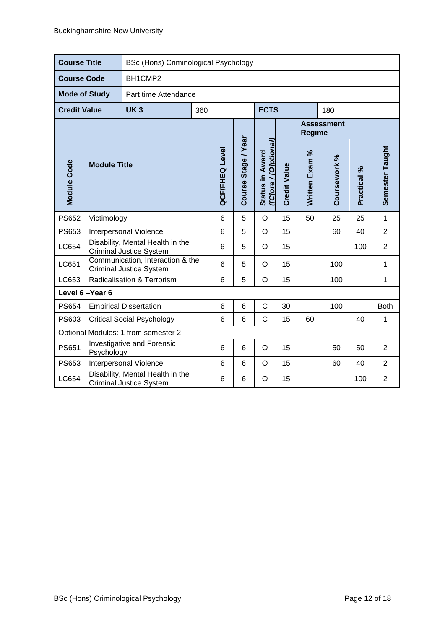| <b>Course Title</b>  |                     | BSc (Hons) Criminological Psychology                               |     |                       |                     |                                          |                     |                |                   |             |                 |
|----------------------|---------------------|--------------------------------------------------------------------|-----|-----------------------|---------------------|------------------------------------------|---------------------|----------------|-------------------|-------------|-----------------|
| <b>Course Code</b>   |                     | BH1CMP2                                                            |     |                       |                     |                                          |                     |                |                   |             |                 |
| <b>Mode of Study</b> |                     | Part time Attendance                                               |     |                       |                     |                                          |                     |                |                   |             |                 |
| <b>Credit Value</b>  |                     | <b>UK3</b>                                                         | 360 |                       |                     | <b>ECTS</b>                              |                     |                | 180               |             |                 |
|                      |                     |                                                                    |     |                       |                     |                                          |                     | <b>Regime</b>  | <b>Assessment</b> |             |                 |
| Module Code          | <b>Module Title</b> |                                                                    |     | <b>QCF/FHEQ Level</b> | Course Stage / Year | (ICJore / [O]ptional]<br>Status in Award | <b>Credit Value</b> | Written Exam % | Coursework %      | Practical % | Semester Taught |
| <b>PS652</b>         | Victimology         |                                                                    |     | 6                     | 5                   | $\circ$                                  | 15                  | 50             | 25                | 25          | $\mathbf{1}$    |
| PS653                |                     | Interpersonal Violence                                             |     | 6                     | 5                   | $\circ$                                  | 15                  |                | 60                | 40          | $\overline{2}$  |
| LC654                |                     | Disability, Mental Health in the<br><b>Criminal Justice System</b> |     | 6                     | 5                   | $\circ$                                  | 15                  |                |                   | 100         | $\overline{2}$  |
| LC651                |                     | Communication, Interaction & the<br><b>Criminal Justice System</b> |     | 6                     | 5                   | $\circ$                                  | 15                  |                | 100               |             | $\mathbf{1}$    |
| LC653                |                     | Radicalisation & Terrorism                                         |     | 6                     | 5                   | $\circ$                                  | 15                  |                | 100               |             | 1               |
|                      | Level 6-Year 6      |                                                                    |     |                       |                     |                                          |                     |                |                   |             |                 |
| <b>PS654</b>         |                     | <b>Empirical Dissertation</b>                                      |     | 6                     | 6                   | $\mathsf{C}$                             | 30                  |                | 100               |             | <b>Both</b>     |
| PS603                |                     | <b>Critical Social Psychology</b>                                  |     | 6                     | 6                   | $\mathsf C$                              | 15                  | 60             |                   | 40          | 1               |
|                      |                     | Optional Modules: 1 from semester 2                                |     |                       |                     |                                          |                     |                |                   |             |                 |
| PS651                | Psychology          | Investigative and Forensic                                         |     | 6                     | 6                   | $\circ$                                  | 15                  |                | 50                | 50          | $\overline{2}$  |
| PS653                |                     | Interpersonal Violence                                             |     | 6                     | 6                   | $\circ$                                  | 15                  |                | 60                | 40          | $\overline{2}$  |
| LC654                |                     | Disability, Mental Health in the<br><b>Criminal Justice System</b> |     |                       | 6                   | $\circ$                                  | 15                  |                |                   | 100         | $\overline{2}$  |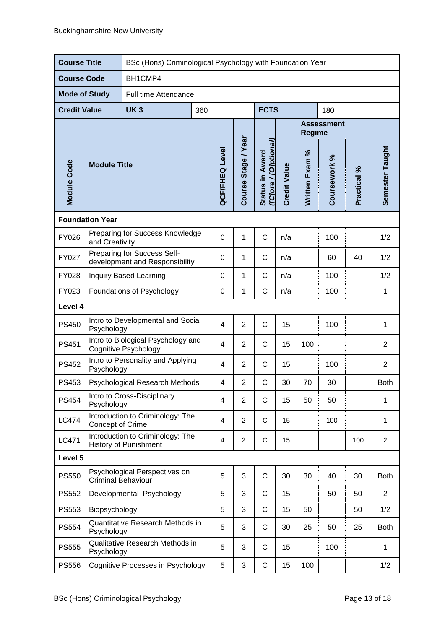| <b>Course Title</b>  |                                               |                                                                   | BSc (Hons) Criminological Psychology with Foundation Year |     |                       |                     |                                          |                     |                |                   |             |                 |
|----------------------|-----------------------------------------------|-------------------------------------------------------------------|-----------------------------------------------------------|-----|-----------------------|---------------------|------------------------------------------|---------------------|----------------|-------------------|-------------|-----------------|
| <b>Course Code</b>   |                                               | BH1CMP4                                                           |                                                           |     |                       |                     |                                          |                     |                |                   |             |                 |
| <b>Mode of Study</b> |                                               | Full time Attendance                                              |                                                           |     |                       |                     |                                          |                     |                |                   |             |                 |
| <b>Credit Value</b>  |                                               | <b>UK3</b>                                                        |                                                           | 360 |                       |                     | <b>ECTS</b>                              |                     |                | 180               |             |                 |
|                      |                                               |                                                                   |                                                           |     |                       |                     |                                          |                     | <b>Regime</b>  | <b>Assessment</b> |             |                 |
| Module Code          | <b>Module Title</b>                           |                                                                   |                                                           |     | <b>QCF/FHEQ Level</b> | Course Stage / Year | (ICJore / [O]ptional)<br>Status in Award | <b>Credit Value</b> | Written Exam % | Coursework %      | Practical % | Semester Taught |
|                      | <b>Foundation Year</b>                        |                                                                   |                                                           |     |                       |                     |                                          |                     |                |                   |             |                 |
| FY026                | and Creativity                                | Preparing for Success Knowledge                                   |                                                           |     | $\mathbf 0$           | 1                   | $\mathsf C$                              | n/a                 |                | 100               |             | 1/2             |
| FY027                |                                               | Preparing for Success Self-<br>development and Responsibility     |                                                           |     | 0                     | 1                   | $\mathsf C$                              | n/a                 |                | 60                | 40          | 1/2             |
| FY028                | <b>Inquiry Based Learning</b>                 |                                                                   |                                                           |     | $\mathbf 0$           | 1                   | $\mathsf C$                              | n/a                 |                | 100               |             | 1/2             |
| FY023                |                                               | $\mathsf C$<br>1<br>Foundations of Psychology<br>0                |                                                           |     |                       |                     |                                          | n/a                 |                | 100               |             | 1               |
| Level 4              |                                               |                                                                   |                                                           |     |                       |                     |                                          |                     |                |                   |             |                 |
| <b>PS450</b>         | Psychology                                    | Intro to Developmental and Social                                 |                                                           |     | $\overline{4}$        | $\overline{2}$      | $\mathsf C$                              | 15                  |                | 100               |             | 1               |
| <b>PS451</b>         |                                               | Intro to Biological Psychology and<br><b>Cognitive Psychology</b> |                                                           |     | 4                     | $\overline{2}$      | $\mathsf{C}$                             | 15                  | 100            |                   |             | $\overline{2}$  |
| <b>PS452</b>         | Psychology                                    | Intro to Personality and Applying                                 |                                                           |     | 4                     | $\overline{2}$      | C                                        | 15                  |                | 100               |             | $\overline{2}$  |
| PS453                |                                               | <b>Psychological Research Methods</b>                             |                                                           |     | 4                     | $\overline{2}$      | C                                        | 30                  | 70             | 30                |             | <b>Both</b>     |
| <b>PS454</b>         | Psychology                                    | Intro to Cross-Disciplinary                                       |                                                           |     | 4                     | $\overline{2}$      | C                                        | 15                  | 50             | 50                |             | 1               |
| <b>LC474</b>         | Concept of Crime                              | Introduction to Criminology: The                                  |                                                           |     | 4                     | $\overline{2}$      | C                                        | 15                  |                | 100               |             | 1               |
| LC471                |                                               | Introduction to Criminology: The<br><b>History of Punishment</b>  |                                                           |     | 4                     | $\overline{2}$      | $\mathsf C$                              | 15                  |                |                   | 100         | $\overline{2}$  |
| Level 5              |                                               |                                                                   |                                                           |     |                       |                     |                                          |                     |                |                   |             |                 |
| <b>PS550</b>         | <b>Criminal Behaviour</b>                     | Psychological Perspectives on                                     |                                                           |     | 5                     | 3                   | $\mathsf C$                              | 30                  | 30             | 40                | 30          | <b>Both</b>     |
| <b>PS552</b>         |                                               | Developmental Psychology                                          |                                                           |     | 5                     | 3                   | $\mathsf C$                              | 15                  |                | 50                | 50          | $\overline{2}$  |
| <b>PS553</b>         | Biopsychology                                 |                                                                   |                                                           |     | 5                     | 3                   | $\mathsf C$                              | 15                  | 50             |                   | 50          | 1/2             |
| PS554                | Psychology                                    | Quantitative Research Methods in                                  |                                                           |     | 5                     | 3                   | C                                        | 30                  | 25             | 50                | 25          | <b>Both</b>     |
| <b>PS555</b>         | Qualitative Research Methods in<br>Psychology |                                                                   |                                                           |     | 5                     | 3                   | $\mathsf C$                              | 15                  |                | 100               |             | 1               |
| <b>PS556</b>         |                                               | Cognitive Processes in Psychology                                 |                                                           |     | 5                     | 3                   | C                                        | 15                  | 100            |                   |             | 1/2             |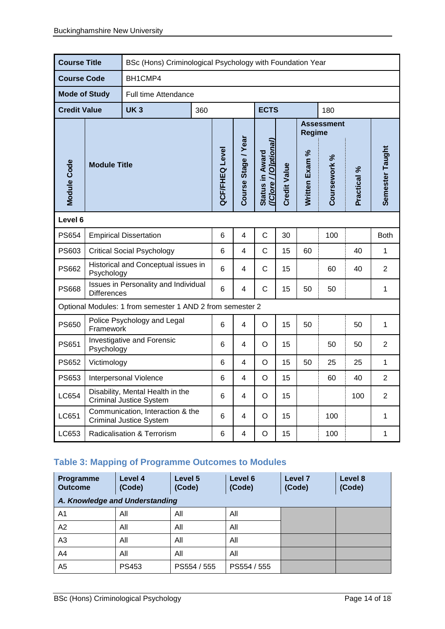| <b>Course Title</b>  |                     | BSc (Hons) Criminological Psychology with Foundation Year          |     |                 |                     |                                          |                     |                |                   |             |                 |
|----------------------|---------------------|--------------------------------------------------------------------|-----|-----------------|---------------------|------------------------------------------|---------------------|----------------|-------------------|-------------|-----------------|
| <b>Course Code</b>   |                     | BH1CMP4                                                            |     |                 |                     |                                          |                     |                |                   |             |                 |
| <b>Mode of Study</b> |                     | <b>Full time Attendance</b>                                        |     |                 |                     |                                          |                     |                |                   |             |                 |
| <b>Credit Value</b>  |                     | <b>UK3</b>                                                         | 360 |                 |                     | <b>ECTS</b>                              |                     |                | 180               |             |                 |
|                      |                     |                                                                    |     |                 |                     |                                          |                     | <b>Regime</b>  | <b>Assessment</b> |             |                 |
| <b>Module Code</b>   | <b>Module Title</b> |                                                                    |     | QCF/FHEQ Level  | Course Stage / Year | (ICJore / [O]ptional)<br>Status in Award | <b>Credit Value</b> | Written Exam % | Coursework %      | Practical % | Semester Taught |
| Level 6              |                     |                                                                    |     |                 |                     |                                          |                     |                |                   |             |                 |
| PS654                |                     | <b>Empirical Dissertation</b>                                      |     | 6               | 4                   | $\mathsf{C}$                             | 30                  |                | 100               |             | <b>Both</b>     |
| PS603                |                     | <b>Critical Social Psychology</b>                                  |     | 6               | 4                   | $\mathsf C$                              | 15                  | 60             |                   | 40          | 1               |
| <b>PS662</b>         | Psychology          | Historical and Conceptual issues in                                |     | 6               | 4                   | $\mathsf{C}$                             | 15                  |                | 60                | 40          | $\overline{2}$  |
| <b>PS668</b>         | <b>Differences</b>  | Issues in Personality and Individual                               |     | 6               | 4                   | $\mathsf C$                              | 15                  | 50             | 50                |             | 1               |
|                      |                     | Optional Modules: 1 from semester 1 AND 2 from semester 2          |     |                 |                     |                                          |                     |                |                   |             |                 |
| <b>PS650</b>         | Framework           | Police Psychology and Legal                                        |     | 6               | $\overline{4}$      | $\circ$                                  | 15                  | 50             |                   | 50          | 1               |
| PS651                | Psychology          | Investigative and Forensic                                         |     | 6               | 4                   | O                                        | 15                  |                | 50                | 50          | $\overline{2}$  |
| <b>PS652</b>         | Victimology         |                                                                    |     | 6               | 4                   | $\circ$                                  | 15                  | 50             | 25                | 25          | $\mathbf{1}$    |
| PS653                |                     | Interpersonal Violence                                             |     | $6\phantom{1}6$ | 4                   | $\circ$                                  | 15                  |                | 60                | 40          | $\overline{2}$  |
| LC654                |                     | Disability, Mental Health in the<br><b>Criminal Justice System</b> |     | 6               | 4                   | O                                        | 15                  |                |                   | 100         | $\overline{2}$  |
| LC651                |                     | Communication, Interaction & the<br><b>Criminal Justice System</b> |     | 6               | 4                   | O                                        | 15                  |                | 100               |             | 1               |
| LC653                |                     | Radicalisation & Terrorism                                         |     | 6               | 4                   | $\mathsf O$                              | 15                  |                | 100               |             | 1               |

# **Table 3: Mapping of Programme Outcomes to Modules**

| Programme<br><b>Outcome</b>    | Level 4<br>(Code) | Level 5<br>(Code) | Level 6<br>(Code) | Level <sub>7</sub><br>(Code) | Level 8<br>(Code) |
|--------------------------------|-------------------|-------------------|-------------------|------------------------------|-------------------|
| A. Knowledge and Understanding |                   |                   |                   |                              |                   |
| A1                             | All               | All               | All               |                              |                   |
| A2                             | All               | All               | All               |                              |                   |
| A <sub>3</sub>                 | All               | All               | All               |                              |                   |
| A4                             | All               | All               | All               |                              |                   |
| A5                             | PS453             | PS554 / 555       | PS554 / 555       |                              |                   |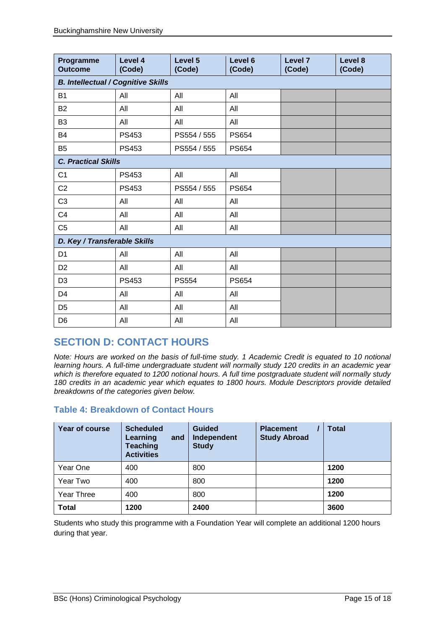| Programme<br><b>Outcome</b>               | Level 4<br>(Code) | Level 5<br>(Code) | Level 6<br>(Code) | Level 7<br>(Code) | Level 8<br>(Code) |
|-------------------------------------------|-------------------|-------------------|-------------------|-------------------|-------------------|
| <b>B. Intellectual / Cognitive Skills</b> |                   |                   |                   |                   |                   |
| <b>B1</b>                                 | All               | All               | All               |                   |                   |
| <b>B2</b>                                 | All               | All               | All               |                   |                   |
| B <sub>3</sub>                            | All               | All               | All               |                   |                   |
| <b>B4</b>                                 | PS453             | PS554 / 555       | <b>PS654</b>      |                   |                   |
| B <sub>5</sub>                            | <b>PS453</b>      | PS554 / 555       | <b>PS654</b>      |                   |                   |
| <b>C. Practical Skills</b>                |                   |                   |                   |                   |                   |
| C <sub>1</sub>                            | PS453             | All               | All               |                   |                   |
| C <sub>2</sub>                            | PS453             | PS554 / 555       | <b>PS654</b>      |                   |                   |
| C <sub>3</sub>                            | All               | All               | All               |                   |                   |
| C <sub>4</sub>                            | All               | All               | All               |                   |                   |
| C <sub>5</sub>                            | All               | All               | All               |                   |                   |
| D. Key / Transferable Skills              |                   |                   |                   |                   |                   |
| D <sub>1</sub>                            | All               | All               | All               |                   |                   |
| D <sub>2</sub>                            | All               | All               | All               |                   |                   |
| D <sub>3</sub>                            | <b>PS453</b>      | <b>PS554</b>      | <b>PS654</b>      |                   |                   |
| D4                                        | All               | All               | All               |                   |                   |
| D <sub>5</sub>                            | All               | All               | All               |                   |                   |
| D <sub>6</sub>                            | All               | All               | All               |                   |                   |

# **SECTION D: CONTACT HOURS**

*Note: Hours are worked on the basis of full-time study. 1 Academic Credit is equated to 10 notional learning hours. A full-time undergraduate student will normally study 120 credits in an academic year which is therefore equated to 1200 notional hours. A full time postgraduate student will normally study 180 credits in an academic year which equates to 1800 hours. Module Descriptors provide detailed breakdowns of the categories given below.*

## **Table 4: Breakdown of Contact Hours**

| Year of course | <b>Scheduled</b><br>Learning<br>and<br><b>Teaching</b><br><b>Activities</b> | <b>Guided</b><br>Independent<br><b>Study</b> | <b>Placement</b><br><b>Study Abroad</b> | <b>Total</b> |
|----------------|-----------------------------------------------------------------------------|----------------------------------------------|-----------------------------------------|--------------|
| Year One       | 400                                                                         | 800                                          |                                         | 1200         |
| Year Two       | 400                                                                         | 800                                          |                                         | 1200         |
| Year Three     | 400                                                                         | 800                                          |                                         | 1200         |
| <b>Total</b>   | 1200                                                                        | 2400                                         |                                         | 3600         |

Students who study this programme with a Foundation Year will complete an additional 1200 hours during that year.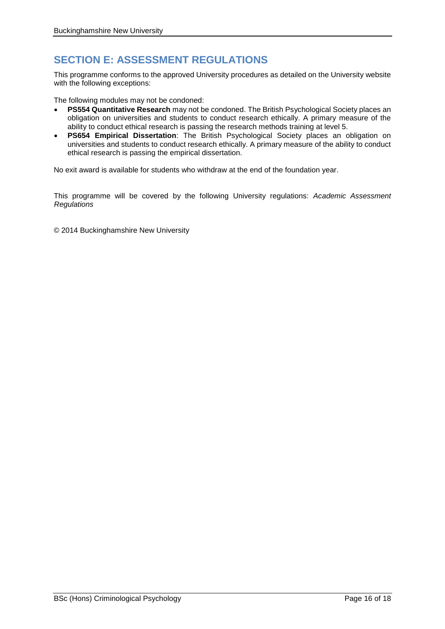# **SECTION E: ASSESSMENT REGULATIONS**

This programme conforms to the approved University procedures as detailed on the University website with the following exceptions:

The following modules may not be condoned:

- **PS554 Quantitative Research** may not be condoned. The British Psychological Society places an obligation on universities and students to conduct research ethically. A primary measure of the ability to conduct ethical research is passing the research methods training at level 5.
- **PS654 Empirical Dissertation**: The British Psychological Society places an obligation on universities and students to conduct research ethically. A primary measure of the ability to conduct ethical research is passing the empirical dissertation.

No exit award is available for students who withdraw at the end of the foundation year.

This programme will be covered by the following University regulations: *Academic Assessment Regulations*

© 2014 Buckinghamshire New University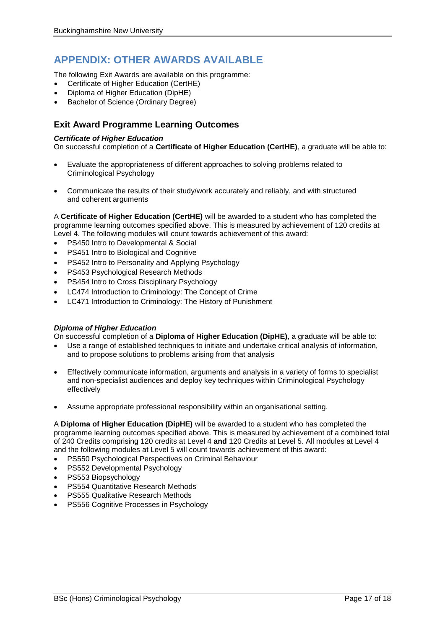## **APPENDIX: OTHER AWARDS AVAILABLE**

The following Exit Awards are available on this programme:

- Certificate of Higher Education (CertHE)
- Diploma of Higher Education (DipHE)
- Bachelor of Science (Ordinary Degree)

## **Exit Award Programme Learning Outcomes**

### *Certificate of Higher Education*

On successful completion of a **Certificate of Higher Education (CertHE)**, a graduate will be able to:

- Evaluate the appropriateness of different approaches to solving problems related to Criminological Psychology
- Communicate the results of their study/work accurately and reliably, and with structured and coherent arguments

A **Certificate of Higher Education (CertHE)** will be awarded to a student who has completed the programme learning outcomes specified above. This is measured by achievement of 120 credits at Level 4. The following modules will count towards achievement of this award:

- PS450 Intro to Developmental & Social
- PS451 Intro to Biological and Cognitive
- PS452 Intro to Personality and Applying Psychology
- PS453 Psychological Research Methods
- PS454 Intro to Cross Disciplinary Psychology
- LC474 Introduction to Criminology: The Concept of Crime
- LC471 Introduction to Criminology: The History of Punishment

#### *Diploma of Higher Education*

On successful completion of a **Diploma of Higher Education (DipHE)**, a graduate will be able to:

- Use a range of established techniques to initiate and undertake critical analysis of information, and to propose solutions to problems arising from that analysis
- Effectively communicate information, arguments and analysis in a variety of forms to specialist and non-specialist audiences and deploy key techniques within Criminological Psychology effectively
- Assume appropriate professional responsibility within an organisational setting.

A **Diploma of Higher Education (DipHE)** will be awarded to a student who has completed the programme learning outcomes specified above. This is measured by achievement of a combined total of 240 Credits comprising 120 credits at Level 4 **and** 120 Credits at Level 5. All modules at Level 4 and the following modules at Level 5 will count towards achievement of this award:

- PS550 Psychological Perspectives on Criminal Behaviour
- PS552 Developmental Psychology
- PS553 Biopsychology
- PS554 Quantitative Research Methods
- PS555 Qualitative Research Methods
- PS556 Cognitive Processes in Psychology